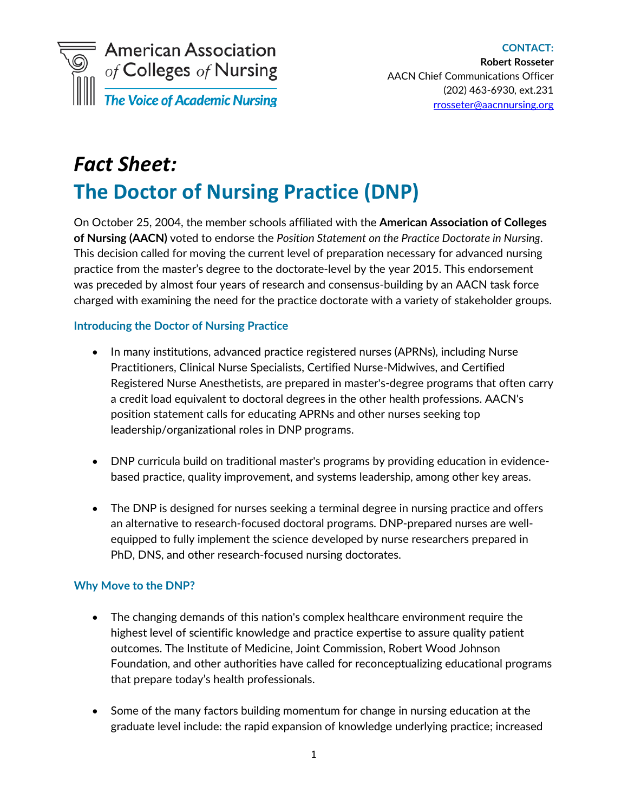

# *Fact Sheet:* **The Doctor of Nursing Practice (DNP)**

On October 25, 2004, the member schools affiliated with the **American Association of Colleges of Nursing (AACN)** voted to endorse the *Position Statement on the Practice Doctorate in Nursing*. This decision called for moving the current level of preparation necessary for advanced nursing practice from the master's degree to the doctorate-level by the year 2015. This endorsement was preceded by almost four years of research and consensus-building by an AACN task force charged with examining the need for the practice doctorate with a variety of stakeholder groups.

## **Introducing the Doctor of Nursing Practice**

- In many institutions, advanced practice registered nurses (APRNs), including Nurse Practitioners, Clinical Nurse Specialists, Certified Nurse-Midwives, and Certified Registered Nurse Anesthetists, are prepared in master's-degree programs that often carry a credit load equivalent to doctoral degrees in the other health professions. AACN's position statement calls for educating APRNs and other nurses seeking top leadership/organizational roles in DNP programs.
- DNP curricula build on traditional master's programs by providing education in evidencebased practice, quality improvement, and systems leadership, among other key areas.
- The DNP is designed for nurses seeking a terminal degree in nursing practice and offers an alternative to research-focused doctoral programs. DNP-prepared nurses are wellequipped to fully implement the science developed by nurse researchers prepared in PhD, DNS, and other research-focused nursing doctorates.

## **Why Move to the DNP?**

- The changing demands of this nation's complex healthcare environment require the highest level of scientific knowledge and practice expertise to assure quality patient outcomes. The Institute of Medicine, Joint Commission, Robert Wood Johnson Foundation, and other authorities have called for reconceptualizing educational programs that prepare today's health professionals.
- Some of the many factors building momentum for change in nursing education at the graduate level include: the rapid expansion of knowledge underlying practice; increased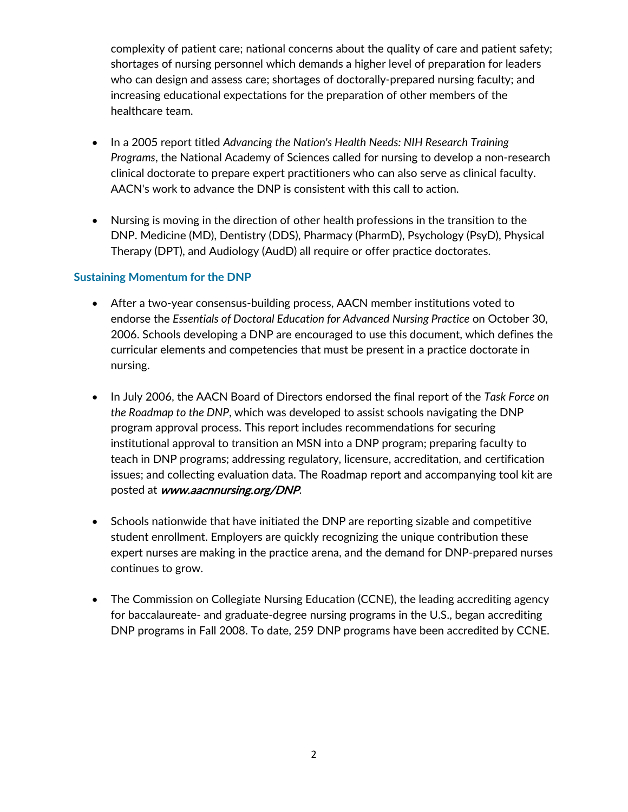complexity of patient care; national concerns about the quality of care and patient safety; shortages of nursing personnel which demands a higher level of preparation for leaders who can design and assess care; shortages of doctorally-prepared nursing faculty; and increasing educational expectations for the preparation of other members of the healthcare team.

- In a 2005 report titled *Advancing the Nation's Health Needs: NIH Research Training Programs*, the National Academy of Sciences called for nursing to develop a non-research clinical doctorate to prepare expert practitioners who can also serve as clinical faculty. AACN's work to advance the DNP is consistent with this call to action.
- Nursing is moving in the direction of other health professions in the transition to the DNP. Medicine (MD), Dentistry (DDS), Pharmacy (PharmD), Psychology (PsyD), Physical Therapy (DPT), and Audiology (AudD) all require or offer practice doctorates.

#### **Sustaining Momentum for the DNP**

- After a two-year consensus-building process, AACN member institutions voted to endorse the *Essentials of Doctoral Education for Advanced Nursing Practice* on October 30, 2006. Schools developing a DNP are encouraged to use this document, which defines the curricular elements and competencies that must be present in a practice doctorate in nursing.
- In July 2006, the AACN Board of Directors endorsed the final report of the *Task Force on the Roadmap to the DNP*, which was developed to assist schools navigating the DNP program approval process. This report includes recommendations for securing institutional approval to transition an MSN into a DNP program; preparing faculty to teach in DNP programs; addressing regulatory, licensure, accreditation, and certification issues; and collecting evaluation data. The Roadmap report and accompanying tool kit are posted at www.aacnnursing.org/DNP.
- Schools nationwide that have initiated the DNP are reporting sizable and competitive student enrollment. Employers are quickly recognizing the unique contribution these expert nurses are making in the practice arena, and the demand for DNP-prepared nurses continues to grow.
- The Commission on Collegiate Nursing Education (CCNE), the leading accrediting agency for baccalaureate- and graduate-degree nursing programs in the U.S., began accrediting DNP programs in Fall 2008. To date, 259 DNP programs have been accredited by CCNE.